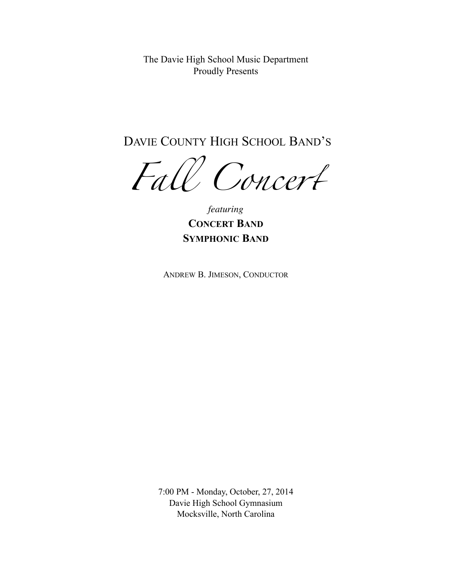The Davie High School Music Department Proudly Presents

DAVIE COUNTY HIGH SCHOOL BAND'S

*Fa*l *Conce*r

*featuring*  **CONCERT BAND SYMPHONIC BAND**

ANDREW B. JIMESON, CONDUCTOR

7:00 PM - Monday, October, 27, 2014 Davie High School Gymnasium Mocksville, North Carolina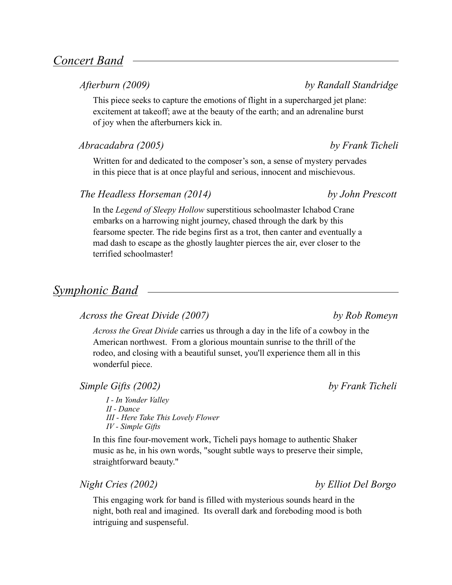# *Concert Band*

## *Afterburn (2009) by Randall Standridge*

This piece seeks to capture the emotions of flight in a supercharged jet plane: excitement at takeoff; awe at the beauty of the earth; and an adrenaline burst of joy when the afterburners kick in.

## *Abracadabra (2005) by Frank Ticheli*

Written for and dedicated to the composer's son, a sense of mystery pervades in this piece that is at once playful and serious, innocent and mischievous.

## *The Headless Horseman (2014) by John Prescott*

In the *Legend of Sleepy Hollow* superstitious schoolmaster Ichabod Crane embarks on a harrowing night journey, chased through the dark by this fearsome specter. The ride begins first as a trot, then canter and eventually a mad dash to escape as the ghostly laughter pierces the air, ever closer to the terrified schoolmaster!

# *Symphonic Band*

## *Across the Great Divide (2007) by Rob Romeyn*

*Across the Great Divide* carries us through a day in the life of a cowboy in the American northwest. From a glorious mountain sunrise to the thrill of the rodeo, and closing with a beautiful sunset, you'll experience them all in this wonderful piece.

## *Simple Gifts (2002) by Frank Ticheli*

*I - In Yonder Valley II - Dance III - Here Take This Lovely Flower IV - Simple Gifts* 

In this fine four-movement work, Ticheli pays homage to authentic Shaker music as he, in his own words, "sought subtle ways to preserve their simple, straightforward beauty."

## *Night Cries (2002) by Elliot Del Borgo*

This engaging work for band is filled with mysterious sounds heard in the night, both real and imagined. Its overall dark and foreboding mood is both intriguing and suspenseful.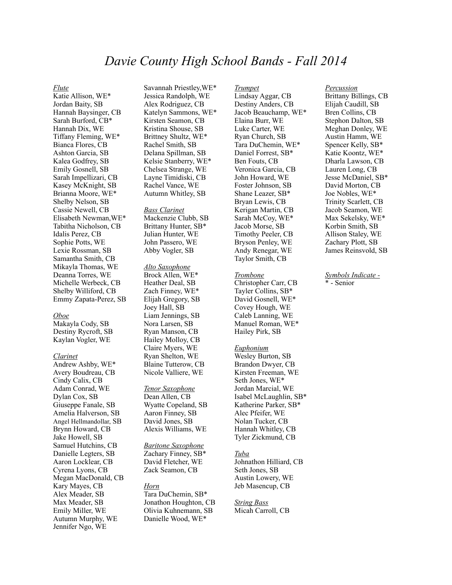# *Davie County High School Bands - Fall 2014*

#### *Flute*

Katie Allison, WE\* Jordan Baity, SB Hannah Baysinger, CB Sarah Burford, CB\* Hannah Dix, WE Tiffany Fleming, WE\* Bianca Flores, CB Ashton Garcia, SB Kalea Godfrey, SB Emily Gosnell, SB Sarah Impellizari, CB Kasey McKnight, SB Brianna Moore, WE\* Shelby Nelson, SB Cassie Newell, CB Elisabeth Newman,WE\* Tabitha Nicholson, CB Idalis Perez, CB Sophie Potts, WE Lexie Rossman, SB Samantha Smith, CB Mikayla Thomas, WE Deanna Torres, WE Michelle Werbeck, CB Shelby Williford, CB Emmy Zapata-Perez, SB

### *Oboe*

Makayla Cody, SB Destiny Rycroft, SB Kaylan Vogler, WE

#### *Clarinet*

Andrew Ashby, WE\* Avery Boudreau, CB Cindy Calix, CB Adam Conrad, WE Dylan Cox, SB Giuseppe Fanale, SB Amelia Halverson, SB Angel Hellmandollar, SB Brynn Howard, CB Jake Howell, SB Samuel Hutchins, CB Danielle Legters, SB Aaron Locklear, CB Cyrena Lyons, CB Megan MacDonald, CB Kary Mayes, CB Alex Meader, SB Max Meader, SB Emily Miller, WE Autumn Murphy, WE Jennifer Ngo, WE

Savannah Priestley,WE\* Jessica Randolph, WE Alex Rodriguez, CB Katelyn Sammons, WE\* Kirsten Seamon, CB Kristina Shouse, SB Brittney Shultz, WE\* Rachel Smith, SB Delana Spillman, SB Kelsie Stanberry, WE\* Chelsea Strange, WE Layne Timidiski, CB Rachel Vance, WE Autumn Whitley, SB

*Bass Clarinet*  Mackenzie Clubb, SB Brittany Hunter, SB\* Julian Hunter, WE John Passero, WE Abby Vogler, SB

### *Alto Saxophone*  Brock Allen, WE\* Heather Deal, SB Zach Finney, WE\* Elijah Gregory, SB Joey Hall, SB Liam Jennings, SB Nora Larsen, SB Ryan Manson, CB Hailey Molloy, CB Claire Myers, WE Ryan Shelton, WE Blaine Tutterow, CB Nicole Valliere, WE

*Tenor Saxophone*  Dean Allen, CB Wyatte Copeland, SB Aaron Finney, SB David Jones, SB Alexis Williams, WE

*Baritone Saxophone*  Zachary Finney, SB\* David Fletcher, WE Zack Seamon, CB

#### *Horn*

Tara DuChemin, SB\* Jonathon Houghton, CB Olivia Kuhnemann, SB Danielle Wood, WE\*

*Trumpet*  Lindsay Aggar, CB Destiny Anders, CB Jacob Beauchamp, WE\* Elaina Burr, WE Luke Carter, WE Ryan Church, SB Tara DuChemin, WE\* Daniel Forrest, SB\* Ben Fouts, CB Veronica Garcia, CB John Howard, WE Foster Johnson, SB Shane Leazer, SB\* Bryan Lewis, CB Kerigan Martin, CB Sarah McCoy, WE\* Jacob Morse, SB Timothy Peeler, CB Bryson Penley, WE Andy Renegar, WE Taylor Smith, CB

#### *Trombone*

Christopher Carr, CB Tayler Collins, SB\* David Gosnell, WE\* Covey Hough, WE Caleb Lanning, WE Manuel Roman, WE\* Hailey Pirk, SB

#### *Euphonium*

Wesley Burton, SB Brandon Dwyer, CB Kirsten Freeman, WE Seth Jones, WE\* Jordan Marcial, WE Isabel McLaughlin, SB\* Katherine Parker, SB\* Alec Pfeifer, WE Nolan Tucker, CB Hannah Whitley, CB Tyler Zickmund, CB

#### *Tuba*

Johnathon Hilliard, CB Seth Jones, SB Austin Lowery, WE Jeb Masencup, CB

### *String Bass*  Micah Carroll, CB

### *Percussion*

Brittany Billings, CB Elijah Caudill, SB Bren Collins, CB Stephon Dalton, SB Meghan Donley, WE Austin Hamm, WE Spencer Kelly, SB\* Katie Koontz, WE\* Dharla Lawson, CB Lauren Long, CB Jesse McDaniel, SB\* David Morton, CB Joe Nobles, WE\* Trinity Scarlett, CB Jacob Seamon, WE Max Sekelsky, WE\* Korbin Smith, SB Allison Staley, WE Zachary Plott, SB James Reinsvold, SB

*Symbols Indicate -*  \* - Senior